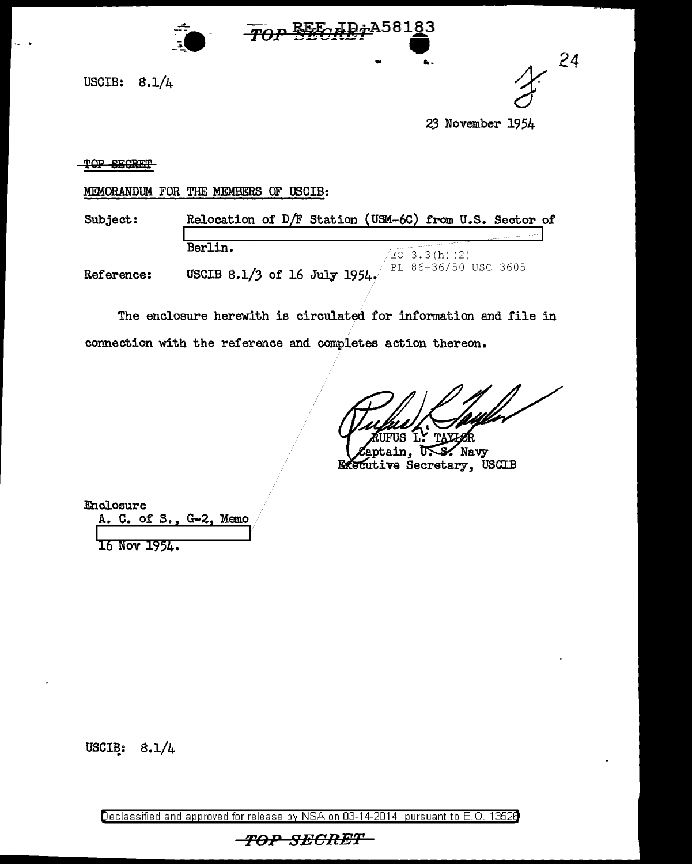

USCIB: 8.1/4

... ... *24* 

23 November 1954

## TOP SECRET

MEMORANDUM FOR THE MEMBERS OF USCIB:

Subject: Relocation of  $D/F$  Station (USM-60) from U.S. Sector of Berlin.<br>  $\sqrt{\frac{EO(3.3)(h)(2)}}$ <br>
FRGTP 4.7% 4.7% 7.1 197% PL 86-36/50 USC 3605 Reference: USCIB 8.1/3 of 16 July 1954

Top SECRETA58183

The enclosure herewith is circulated for information and file in connection with the reference and completes action thereon.

JFUS L' TAX

aptain, U.S. Navy Executive Secretary, USCIB

Enclosure A. C. of S., G-2, Memo

16 Nov 1954.

USCIB:  $8.1/4$ 

Declassified and approved for release by NSA on 03-14-2014 pursuant to E. 0. 1352B

-TOP-SECRET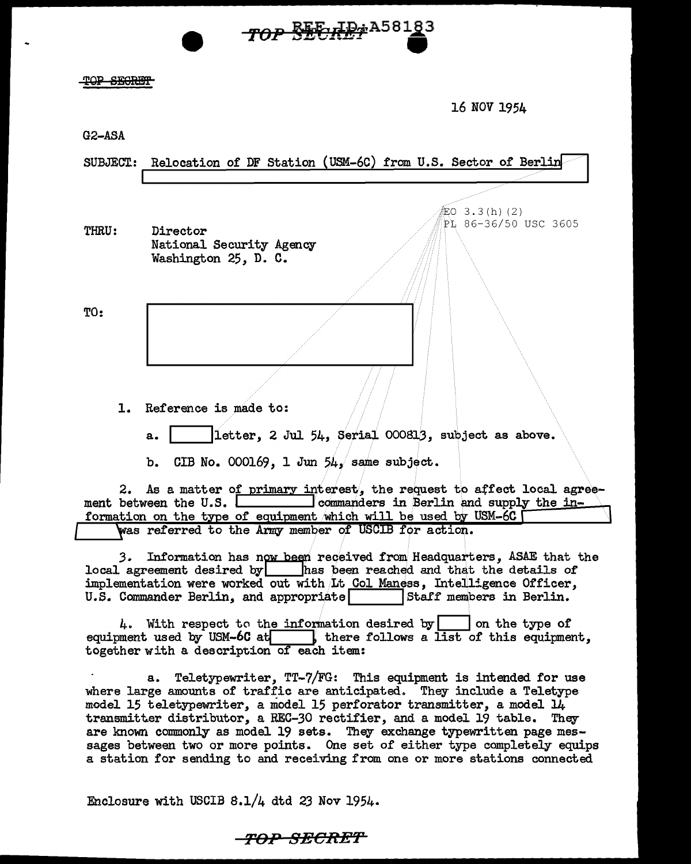## TOP SECRET

16 NOV 1954

G2-ASA

| <b>SUBJECT:</b>                                                                                                                                                                                                                                                                                       | Relocation of DF Station (USM-6C) from U.S. Sector of Berlin                                                                                                                                                                                                                                         |
|-------------------------------------------------------------------------------------------------------------------------------------------------------------------------------------------------------------------------------------------------------------------------------------------------------|------------------------------------------------------------------------------------------------------------------------------------------------------------------------------------------------------------------------------------------------------------------------------------------------------|
|                                                                                                                                                                                                                                                                                                       |                                                                                                                                                                                                                                                                                                      |
| <b>THRU:</b>                                                                                                                                                                                                                                                                                          | 缸O 3.3(h)(2)<br>PL 86-36/50 USC 3605<br>Director<br>National Security Agency<br>Washington 25, D. C.                                                                                                                                                                                                 |
| TO:                                                                                                                                                                                                                                                                                                   |                                                                                                                                                                                                                                                                                                      |
|                                                                                                                                                                                                                                                                                                       |                                                                                                                                                                                                                                                                                                      |
|                                                                                                                                                                                                                                                                                                       |                                                                                                                                                                                                                                                                                                      |
| 1.                                                                                                                                                                                                                                                                                                    | Reference is made to:                                                                                                                                                                                                                                                                                |
|                                                                                                                                                                                                                                                                                                       | letter, 2 Jul 54, Serial 000813, subject as above.<br>a.                                                                                                                                                                                                                                             |
|                                                                                                                                                                                                                                                                                                       | CIB No. 000169, 1 Jun $54/$ same subject.<br>b.                                                                                                                                                                                                                                                      |
|                                                                                                                                                                                                                                                                                                       | 2. As a matter of primary interest, the request to affect local agree-<br>ment between the U.S. <b>Leapen Example 2</b> commanders in Berlin and supply the in-                                                                                                                                      |
|                                                                                                                                                                                                                                                                                                       | formation on the type of equipment which will be used by USM-6C<br>was referred to the Army member of USCIB for action.                                                                                                                                                                              |
| 3. Information has now been received from Headquarters, ASAE that the<br>local agreement desired by $\Box$ has been reached and that the details of<br>implementation were worked out with Lt Col Maness, Intelligence Officer,<br>U.S. Commander Berlin, and appropriate<br>Staff members in Berlin. |                                                                                                                                                                                                                                                                                                      |
|                                                                                                                                                                                                                                                                                                       | 4. With respect to the information desired by     on the type of<br>equipment used by USM-6C at $\left\vert \right\vert$ there follows a list of this equipment,<br>together with a description of each item:                                                                                        |
|                                                                                                                                                                                                                                                                                                       | Teletypewriter, TT-7/FG: This equipment is intended for use<br>a.<br>where large amounts of traffic are anticipated. They include a Teletype<br>model 15 teletypewriter, a model 15 perforator transmitter, a model 14<br>transmitter distributor, a REC-30 rectifier, and a model 19 table.<br>They |

TOP SECRET A58183

sages between two or more points. One set of either type completely equips a station for sending to and receiving from one or more stations connected

are known commonly as model 19 sets. They exchange typewritten page mes-

Enclosure with USCIB 8.1/4 dtd 23 Nov 1954.

*Tt>.P SRCR-EP*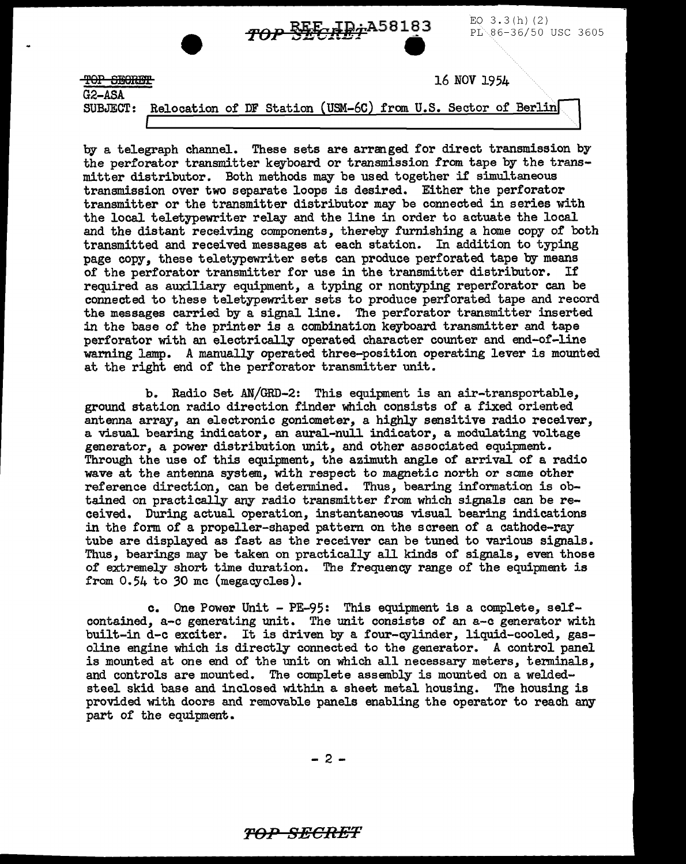

 $\overline{16}$  for  $\overline{16}$  and  $\overline{16}$   $\overline{16}$   $\overline{16}$   $\overline{16}$   $\overline{16}$   $\overline{19}$   $\overline{5}$   $\overline{16}$   $\overline{19}$   $\overline{16}$   $\overline{19}$   $\overline{16}$   $\overline{11}$   $\overline{16}$   $\overline{11}$   $\overline{15}$   $\overline{11}$   $\overline{15}$   $\overline{11}$   $\overline$ 

G2-ASA

SUBJECT: Relocation of DF Station USM-6C from U.S. Sector of Berlin.

by a telegraph channel. These sets are arranged for direct transmission by the perforator transmitter keyboard or transmission from tape by the transmitter distributor. Both methods may be used together if simultaneous transmission over two separate loops is desired. Either the perforator transmitter or the transmitter distributor may be connected in series with the local teletypewriter relay and the line in order to actuate the local and the distant receiving components, thereby furnishing a home copy of both transmitted and received messages at each station. In addition to typing page copy, these teletypewriter sets can produce perforated tape by means of the perforator transmitter for use in the transmitter distributor. If required as auxiliary equipment, a typing or nontyping reperforator can be connected to these teletypewriter sets to produce perforated tape and record the messages carried by a signal line. The perforator transmitter inserted in the base of the printer is a combination keyboard transmitter and tape perforator with an electrically operated character counter and end-of-line waming lamp. A manually operated three-position operating lever is mounted at the right end of the perforator transmitter unit.

b. Radio Set AN/GRD-2: This equipment is an air-transportable, ground station radio direction finder which consists of a fixed oriented antenna array, an electronic goniometer, a highly sensitive radio receiver, a visual bearing indicator, an aural-null indicator, a modulating voltage generator, a power distribution unit, and other associated equipment. Through the use of this equipment, the azimuth angle of arrival of a radio wave at the antenna system, with respect to magnetic north or some other reference direction, can be determined. Thus, bearing information is obtained on practically any radio transmitter from which signals can be received. During actual operation, instantaneous visual bearing indications in the form of a propeller-shaped pattern on the screen of a cathode-ray tube are displayed as fast as the receiver can be tuned to various signals. Thus, bearings may be taken on practically all kinds of signals, even those of extremely short time duration. The frequency range of the equipment is from 0.54 to 30 mc (megacycles).

c. One Power Unit - PE-95: This equipment is a complete, selfcontained, a-c generating unit. The unit consists of an a-c generator with built-in d-c exciter. It is driven by a four-cylinder, liquid-cooled, gasoline engine which is directly connected to the generator. A control panel is mounted at one end of the unit on which all necessary meters, terminals, and controls are mounted. The complete assembly is mounted on a weldedsteel skid base and inclosed within a sheet metal housing. The housing is provided with doors and removable panels enabling the operator to reach any part of the equipment.

 $-2 -$ 

## *TOP SECRET*